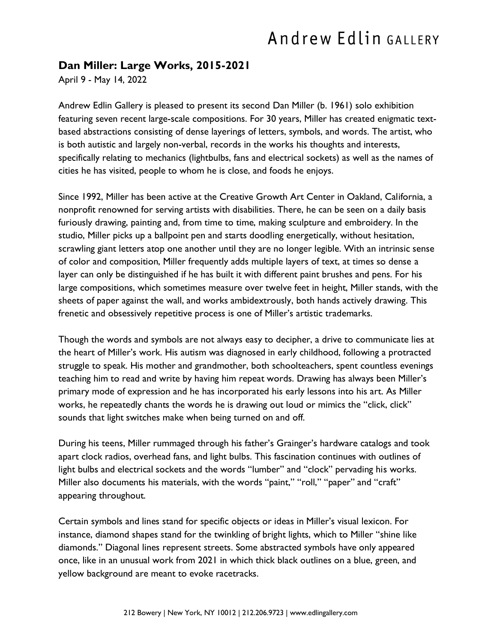## Andrew Edlin GALLERY

## **Dan Miller: Large Works, 2015-2021**

April 9 - May 14, 2022

Andrew Edlin Gallery is pleased to present its second Dan Miller (b. 1961) solo exhibition featuring seven recent large-scale compositions. For 30 years, Miller has created enigmatic textbased abstractions consisting of dense layerings of letters, symbols, and words. The artist, who is both autistic and largely non-verbal, records in the works his thoughts and interests, specifically relating to mechanics (lightbulbs, fans and electrical sockets) as well as the names of cities he has visited, people to whom he is close, and foods he enjoys.

Since 1992, Miller has been active at the Creative Growth Art Center in Oakland, California, a nonprofit renowned for serving artists with disabilities. There, he can be seen on a daily basis furiously drawing, painting and, from time to time, making sculpture and embroidery. In the studio, Miller picks up a ballpoint pen and starts doodling energetically, without hesitation, scrawling giant letters atop one another until they are no longer legible. With an intrinsic sense of color and composition, Miller frequently adds multiple layers of text, at times so dense a layer can only be distinguished if he has built it with different paint brushes and pens. For his large compositions, which sometimes measure over twelve feet in height, Miller stands, with the sheets of paper against the wall, and works ambidextrously, both hands actively drawing. This frenetic and obsessively repetitive process is one of Miller's artistic trademarks.

Though the words and symbols are not always easy to decipher, a drive to communicate lies at the heart of Miller's work. His autism was diagnosed in early childhood, following a protracted struggle to speak. His mother and grandmother, both schoolteachers, spent countless evenings teaching him to read and write by having him repeat words. Drawing has always been Miller's primary mode of expression and he has incorporated his early lessons into his art. As Miller works, he repeatedly chants the words he is drawing out loud or mimics the "click, click" sounds that light switches make when being turned on and off.

During his teens, Miller rummaged through his father's Grainger's hardware catalogs and took apart clock radios, overhead fans, and light bulbs. This fascination continues with outlines of light bulbs and electrical sockets and the words "lumber" and "clock" pervading his works. Miller also documents his materials, with the words "paint," "roll," "paper" and "craft" appearing throughout.

Certain symbols and lines stand for specific objects or ideas in Miller's visual lexicon. For instance, diamond shapes stand for the twinkling of bright lights, which to Miller "shine like diamonds." Diagonal lines represent streets. Some abstracted symbols have only appeared once, like in an unusual work from 2021 in which thick black outlines on a blue, green, and yellow background are meant to evoke racetracks.